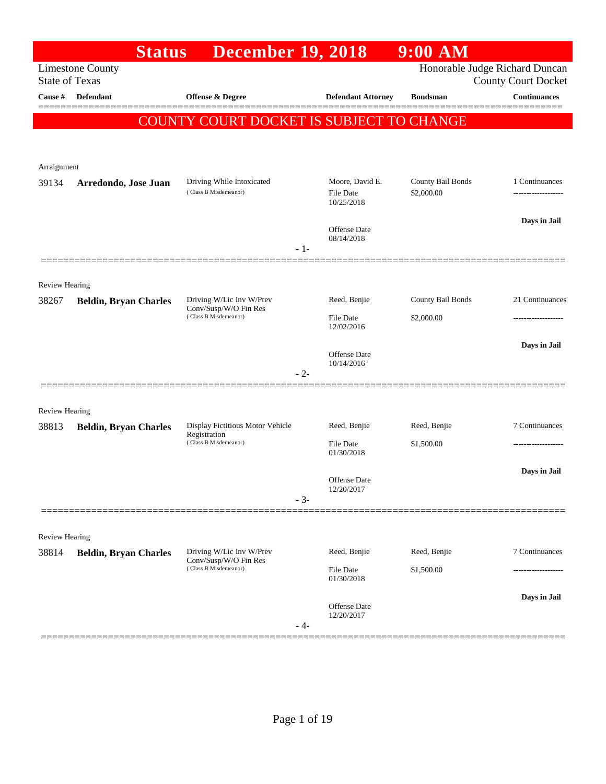|                         | <b>Status</b>                | <b>December 19, 2018</b>                                                   |                                                | 9:00 AM                         |                                                              |
|-------------------------|------------------------------|----------------------------------------------------------------------------|------------------------------------------------|---------------------------------|--------------------------------------------------------------|
| <b>State of Texas</b>   | <b>Limestone County</b>      |                                                                            |                                                |                                 | Honorable Judge Richard Duncan<br><b>County Court Docket</b> |
| Cause #                 | Defendant                    | Offense & Degree                                                           | <b>Defendant Attorney</b>                      | <b>Bondsman</b>                 | <b>Continuances</b>                                          |
|                         |                              | <b>COUNTY COURT DOCKET IS SUBJECT TO CHANGE</b>                            |                                                |                                 |                                                              |
| Arraignment             |                              |                                                                            |                                                |                                 |                                                              |
| 39134                   | Arredondo, Jose Juan         | Driving While Intoxicated<br>(Class B Misdemeanor)                         | Moore, David E.<br>File Date<br>10/25/2018     | County Bail Bonds<br>\$2,000.00 | 1 Continuances                                               |
|                         |                              | - 1-                                                                       | <b>Offense</b> Date<br>08/14/2018              |                                 | Days in Jail                                                 |
|                         |                              |                                                                            |                                                |                                 |                                                              |
| Review Hearing<br>38267 | <b>Beldin, Bryan Charles</b> | Driving W/Lic Inv W/Prev<br>Conv/Susp/W/O Fin Res<br>(Class B Misdemeanor) | Reed, Benjie                                   | County Bail Bonds               | 21 Continuances                                              |
|                         |                              |                                                                            | File Date<br>12/02/2016                        | \$2,000.00                      | ------------------                                           |
|                         |                              | $-2-$                                                                      | <b>Offense</b> Date<br>10/14/2016              |                                 | Days in Jail                                                 |
| <b>Review Hearing</b>   |                              |                                                                            |                                                |                                 |                                                              |
| 38813                   | <b>Beldin, Bryan Charles</b> | Display Fictitious Motor Vehicle<br>Registration                           | Reed, Benjie                                   | Reed, Benjie                    | 7 Continuances                                               |
|                         |                              | (Class B Misdemeanor)                                                      | File Date<br>01/30/2018                        | \$1,500.00                      | ---------------                                              |
|                         |                              | $-3-$                                                                      | <b>Offense</b> Date<br>12/20/2017              |                                 | Days in Jail                                                 |
|                         |                              |                                                                            |                                                |                                 |                                                              |
| Review Hearing          |                              |                                                                            |                                                |                                 |                                                              |
| 38814                   | <b>Beldin, Bryan Charles</b> | Driving W/Lic Inv W/Prev<br>Conv/Susp/W/O Fin Res<br>(Class B Misdemeanor) | Reed, Benjie<br><b>File Date</b><br>01/30/2018 | Reed, Benjie<br>\$1,500.00      | 7 Continuances                                               |
|                         |                              | - 4-                                                                       | <b>Offense Date</b><br>12/20/2017              |                                 | Days in Jail                                                 |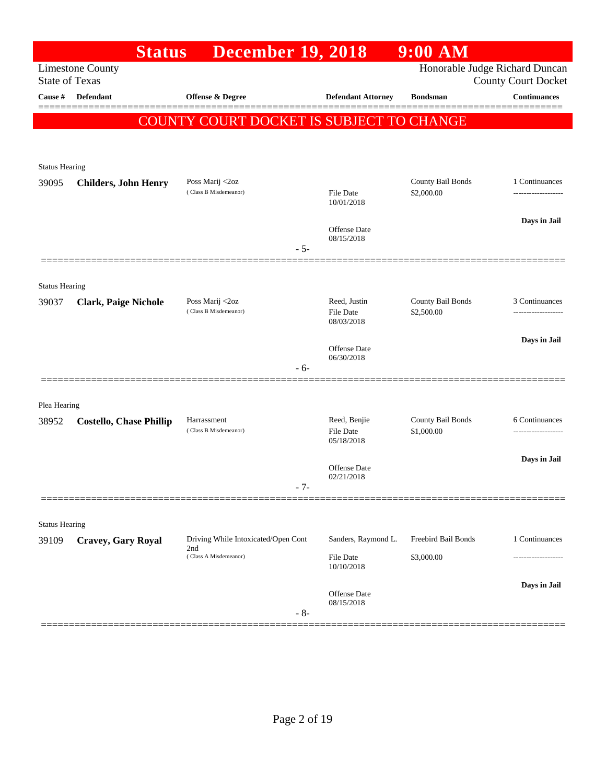|                       | <b>Status</b>                  | <b>December 19, 2018</b>                   |                                | $9:00$ AM           |                                                              |
|-----------------------|--------------------------------|--------------------------------------------|--------------------------------|---------------------|--------------------------------------------------------------|
| <b>State of Texas</b> | <b>Limestone County</b>        |                                            |                                |                     | Honorable Judge Richard Duncan<br><b>County Court Docket</b> |
| Cause $\#$            | <b>Defendant</b>               | <b>Offense &amp; Degree</b>                | <b>Defendant Attorney</b>      | <b>Bondsman</b>     | <b>Continuances</b>                                          |
|                       |                                | COUNTY COURT DOCKET IS SUBJECT TO CHANGE   |                                |                     |                                                              |
|                       |                                |                                            |                                |                     |                                                              |
| <b>Status Hearing</b> |                                |                                            |                                |                     |                                                              |
| 39095                 | <b>Childers, John Henry</b>    | Poss Marij <2oz                            |                                | County Bail Bonds   | 1 Continuances                                               |
|                       |                                | (Class B Misdemeanor)                      | <b>File Date</b><br>10/01/2018 | \$2,000.00          |                                                              |
|                       |                                |                                            |                                |                     | Days in Jail                                                 |
|                       |                                |                                            | Offense Date<br>08/15/2018     |                     |                                                              |
|                       |                                | $-5-$                                      |                                |                     |                                                              |
| <b>Status Hearing</b> |                                |                                            |                                |                     |                                                              |
| 39037                 | <b>Clark, Paige Nichole</b>    | Poss Marij <2oz                            | Reed, Justin                   | County Bail Bonds   | 3 Continuances                                               |
|                       |                                | (Class B Misdemeanor)                      | File Date<br>08/03/2018        | \$2,500.00          |                                                              |
|                       |                                |                                            | <b>Offense</b> Date            |                     | Days in Jail                                                 |
|                       |                                | - 6-                                       | 06/30/2018                     |                     |                                                              |
|                       |                                |                                            |                                |                     |                                                              |
| Plea Hearing          |                                |                                            |                                |                     |                                                              |
| 38952                 | <b>Costello, Chase Phillip</b> | Harrassment<br>(Class B Misdemeanor)       | Reed, Benjie                   | County Bail Bonds   | 6 Continuances                                               |
|                       |                                |                                            | File Date<br>05/18/2018        | \$1,000.00          |                                                              |
|                       |                                |                                            | Offense Date                   |                     | Days in Jail                                                 |
|                       |                                | $-7-$                                      | 02/21/2018                     |                     |                                                              |
|                       |                                |                                            |                                |                     |                                                              |
| <b>Status Hearing</b> |                                |                                            |                                |                     |                                                              |
| 39109                 | <b>Cravey, Gary Royal</b>      | Driving While Intoxicated/Open Cont<br>2nd | Sanders, Raymond L.            | Freebird Bail Bonds | 1 Continuances                                               |
|                       |                                | (Class A Misdemeanor)                      | <b>File Date</b><br>10/10/2018 | \$3,000.00          |                                                              |
|                       |                                |                                            |                                |                     | Days in Jail                                                 |
|                       |                                |                                            | Offense Date<br>08/15/2018     |                     |                                                              |
|                       |                                | $-8-$                                      |                                |                     |                                                              |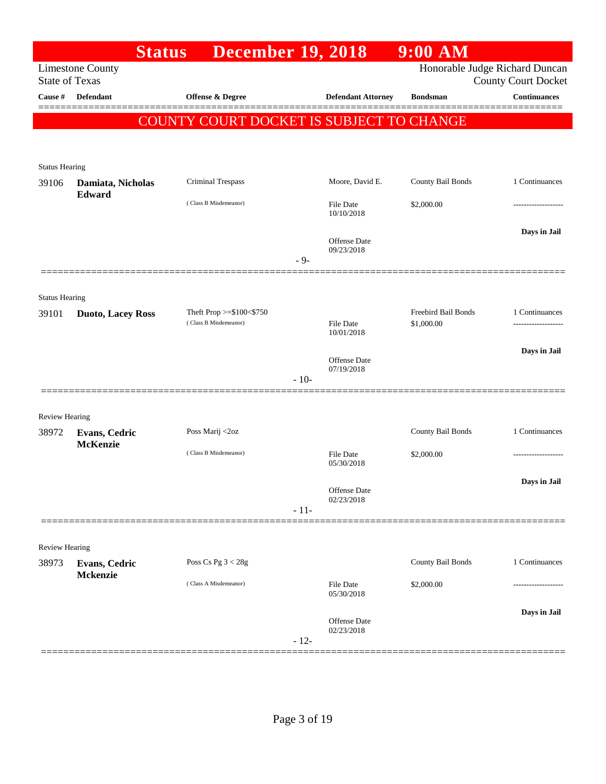|                       | <b>Status</b>            | <b>December 19, 2018</b>                          |        |                                   | $9:00$ AM           |                                                   |
|-----------------------|--------------------------|---------------------------------------------------|--------|-----------------------------------|---------------------|---------------------------------------------------|
| <b>State of Texas</b> | <b>Limestone County</b>  |                                                   |        |                                   |                     | Honorable Judge Richard Duncan                    |
| Cause #               | <b>Defendant</b>         | Offense & Degree                                  |        | <b>Defendant Attorney</b>         | <b>Bondsman</b>     | <b>County Court Docket</b><br><b>Continuances</b> |
|                       |                          |                                                   |        |                                   |                     |                                                   |
|                       |                          | <b>COUNTY COURT DOCKET IS SUBJECT TO CHANGE</b>   |        |                                   |                     |                                                   |
|                       |                          |                                                   |        |                                   |                     |                                                   |
| <b>Status Hearing</b> |                          |                                                   |        |                                   |                     |                                                   |
| 39106                 | Damiata, Nicholas        | Criminal Trespass                                 |        | Moore, David E.                   | County Bail Bonds   | 1 Continuances                                    |
|                       | Edward                   | (Class B Misdemeanor)                             |        | <b>File Date</b>                  | \$2,000.00          |                                                   |
|                       |                          |                                                   |        | 10/10/2018                        |                     |                                                   |
|                       |                          |                                                   |        | <b>Offense Date</b>               |                     | Days in Jail                                      |
|                       |                          |                                                   | $-9-$  | 09/23/2018                        |                     |                                                   |
|                       |                          |                                                   |        |                                   |                     |                                                   |
| <b>Status Hearing</b> |                          |                                                   |        |                                   |                     |                                                   |
| 39101                 | <b>Duoto, Lacey Ross</b> | Theft Prop >=\$100<\$750<br>(Class B Misdemeanor) |        |                                   | Freebird Bail Bonds | 1 Continuances                                    |
|                       |                          |                                                   |        | <b>File Date</b><br>10/01/2018    | \$1,000.00          | .                                                 |
|                       |                          |                                                   |        |                                   |                     | Days in Jail                                      |
|                       |                          |                                                   |        | <b>Offense Date</b><br>07/19/2018 |                     |                                                   |
|                       |                          |                                                   | $-10-$ |                                   |                     |                                                   |
| <b>Review Hearing</b> |                          |                                                   |        |                                   |                     |                                                   |
| 38972                 | <b>Evans, Cedric</b>     | Poss Marij <2oz                                   |        |                                   | County Bail Bonds   | 1 Continuances                                    |
|                       | <b>McKenzie</b>          | (Class B Misdemeanor)                             |        | <b>File Date</b>                  | \$2,000.00          | .                                                 |
|                       |                          |                                                   |        | 05/30/2018                        |                     |                                                   |
|                       |                          |                                                   |        | Offense Date                      |                     | Days in Jail                                      |
|                       |                          |                                                   | $-11-$ | 02/23/2018                        |                     |                                                   |
|                       |                          |                                                   |        |                                   |                     |                                                   |
| <b>Review Hearing</b> |                          |                                                   |        |                                   |                     |                                                   |
| 38973                 | <b>Evans, Cedric</b>     | Poss Cs Pg $3 < 28g$                              |        |                                   | County Bail Bonds   | 1 Continuances                                    |
|                       | Mckenzie                 | (Class A Misdemeanor)                             |        | <b>File Date</b>                  | \$2,000.00          | .                                                 |
|                       |                          |                                                   |        | 05/30/2018                        |                     |                                                   |
|                       |                          |                                                   |        | <b>Offense Date</b>               |                     | Days in Jail                                      |
|                       |                          |                                                   | $-12-$ | 02/23/2018                        |                     |                                                   |
|                       |                          |                                                   |        |                                   |                     |                                                   |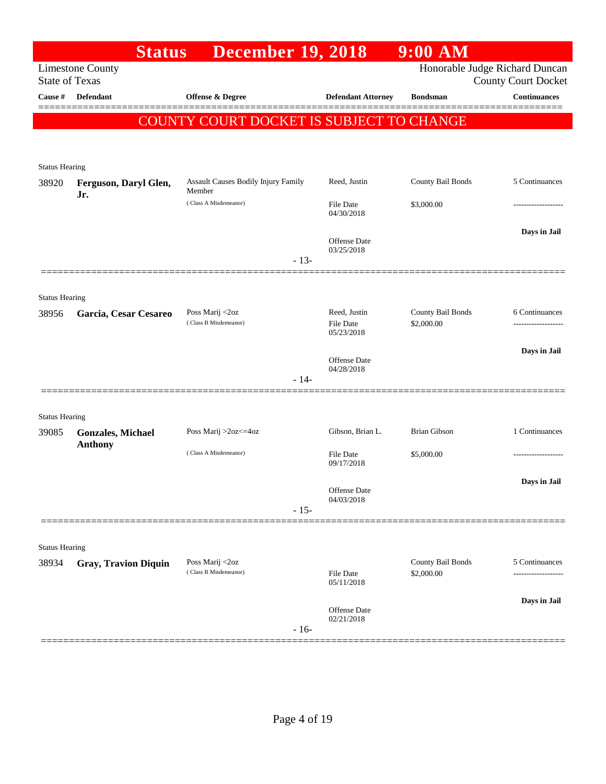|                                | <b>Status</b>                              | <b>December 19, 2018</b>                 |                                   | $9:00$ AM                       |                                |
|--------------------------------|--------------------------------------------|------------------------------------------|-----------------------------------|---------------------------------|--------------------------------|
|                                | <b>Limestone County</b>                    |                                          |                                   |                                 | Honorable Judge Richard Duncan |
| <b>State of Texas</b>          |                                            |                                          |                                   |                                 | <b>County Court Docket</b>     |
| <b>Cause</b> #                 | Defendant                                  | Offense & Degree                         | <b>Defendant Attorney</b>         | <b>Bondsman</b>                 | <b>Continuances</b>            |
|                                |                                            | COUNTY COURT DOCKET IS SUBJECT TO CHANGE |                                   |                                 |                                |
|                                |                                            |                                          |                                   |                                 |                                |
|                                |                                            |                                          |                                   |                                 |                                |
| <b>Status Hearing</b><br>38920 | Ferguson, Daryl Glen,                      | Assault Causes Bodily Injury Family      | Reed, Justin                      | County Bail Bonds               | 5 Continuances                 |
|                                | Jr.                                        | Member                                   |                                   |                                 |                                |
|                                |                                            | (Class A Misdemeanor)                    | <b>File Date</b><br>04/30/2018    | \$3,000.00                      |                                |
|                                |                                            |                                          |                                   |                                 | Days in Jail                   |
|                                |                                            |                                          | Offense Date<br>03/25/2018        |                                 |                                |
|                                |                                            | $-13-$                                   |                                   |                                 |                                |
|                                |                                            |                                          |                                   |                                 |                                |
| <b>Status Hearing</b>          |                                            |                                          |                                   |                                 |                                |
| 38956                          | Garcia, Cesar Cesareo                      | Poss Marij <2oz<br>(Class B Misdemeanor) | Reed, Justin<br>File Date         | County Bail Bonds<br>\$2,000.00 | 6 Continuances                 |
|                                |                                            |                                          | 05/23/2018                        |                                 |                                |
|                                |                                            |                                          |                                   |                                 | Days in Jail                   |
|                                |                                            |                                          | Offense Date<br>04/28/2018        |                                 |                                |
|                                |                                            | $-14-$                                   |                                   |                                 |                                |
|                                |                                            |                                          |                                   |                                 |                                |
| <b>Status Hearing</b>          |                                            |                                          |                                   |                                 |                                |
| 39085                          | <b>Gonzales, Michael</b><br><b>Anthony</b> | Poss Marij >2oz<=4oz                     | Gibson, Brian L.                  | <b>Brian Gibson</b>             | 1 Continuances                 |
|                                |                                            | (Class A Misdemeanor)                    | File Date<br>09/17/2018           | \$5,000.00                      |                                |
|                                |                                            |                                          |                                   |                                 |                                |
|                                |                                            |                                          | Offense Date<br>04/03/2018        |                                 | Days in Jail                   |
|                                |                                            | $-15-$                                   |                                   |                                 |                                |
|                                |                                            |                                          |                                   |                                 |                                |
| <b>Status Hearing</b>          |                                            |                                          |                                   |                                 |                                |
| 38934                          | <b>Gray, Travion Diquin</b>                | Poss Marij <2oz                          |                                   | County Bail Bonds               | 5 Continuances                 |
|                                |                                            | (Class B Misdemeanor)                    | <b>File Date</b><br>05/11/2018    | \$2,000.00                      | -------------------            |
|                                |                                            |                                          |                                   |                                 | Days in Jail                   |
|                                |                                            |                                          | <b>Offense Date</b><br>02/21/2018 |                                 |                                |
|                                |                                            | $-16-$                                   |                                   |                                 |                                |
|                                |                                            |                                          |                                   |                                 |                                |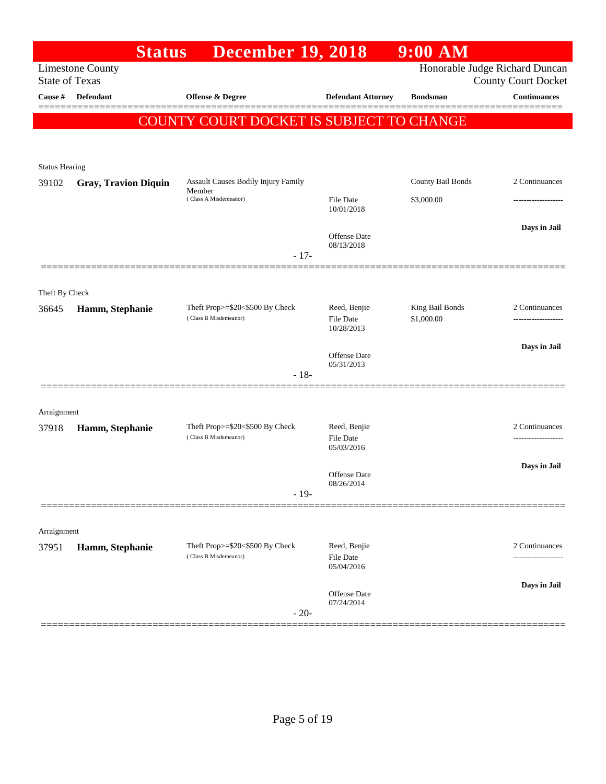|                       | <b>Status</b>               | <b>December 19, 2018</b>                                 |                            | $9:00$ AM                      |                                    |
|-----------------------|-----------------------------|----------------------------------------------------------|----------------------------|--------------------------------|------------------------------------|
| <b>State of Texas</b> | <b>Limestone County</b>     |                                                          |                            | Honorable Judge Richard Duncan | <b>County Court Docket</b>         |
| Cause #               | Defendant                   | Offense & Degree                                         | <b>Defendant Attorney</b>  | <b>Bondsman</b>                | <b>Continuances</b>                |
|                       |                             | COUNTY COURT DOCKET IS SUBJECT TO CHANGE                 |                            |                                |                                    |
|                       |                             |                                                          |                            |                                |                                    |
| <b>Status Hearing</b> |                             |                                                          |                            |                                |                                    |
| 39102                 | <b>Gray, Travion Diquin</b> | Assault Causes Bodily Injury Family<br>Member            |                            | County Bail Bonds              | 2 Continuances                     |
|                       |                             | (Class A Misdemeanor)                                    | File Date<br>10/01/2018    | \$3,000.00                     |                                    |
|                       |                             |                                                          | Offense Date               |                                | Days in Jail                       |
|                       |                             | $-17-$                                                   | 08/13/2018                 |                                |                                    |
|                       |                             |                                                          |                            |                                |                                    |
| Theft By Check        |                             |                                                          |                            |                                |                                    |
| 36645                 | Hamm, Stephanie             | Theft Prop>=\$20<\$500 By Check<br>(Class B Misdemeanor) | Reed, Benjie<br>File Date  | King Bail Bonds<br>\$1,000.00  | 2 Continuances                     |
|                       |                             |                                                          | 10/28/2013                 |                                |                                    |
|                       |                             |                                                          | Offense Date<br>05/31/2013 |                                | Days in Jail                       |
|                       |                             | $-18-$                                                   |                            |                                |                                    |
|                       |                             |                                                          |                            |                                |                                    |
| Arraignment<br>37918  | Hamm, Stephanie             | Theft Prop>=\$20<\$500 By Check                          | Reed, Benjie               |                                | 2 Continuances                     |
|                       |                             | (Class B Misdemeanor)                                    | File Date<br>05/03/2016    |                                | -------------------                |
|                       |                             |                                                          | <b>Offense Date</b>        |                                | Days in Jail                       |
|                       |                             | $-19-$                                                   | 08/26/2014                 |                                |                                    |
|                       |                             |                                                          |                            |                                |                                    |
| Arraignment           |                             |                                                          |                            |                                |                                    |
| 37951                 | Hamm, Stephanie             | Theft Prop>=\$20<\$500 By Check<br>(Class B Misdemeanor) | Reed, Benjie<br>File Date  |                                | 2 Continuances<br>---------------- |
|                       |                             |                                                          | 05/04/2016                 |                                |                                    |
|                       |                             |                                                          | Offense Date<br>07/24/2014 |                                | Days in Jail                       |
|                       |                             | $-20-$                                                   |                            |                                |                                    |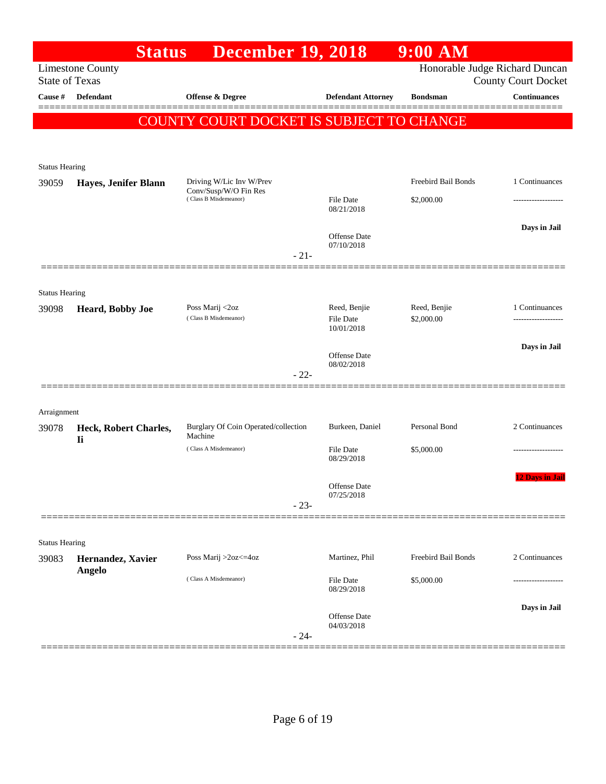|                       | <b>Status</b>                      | <b>December 19, 2018</b>                        |                                   | $9:00$ AM           |                                                              |
|-----------------------|------------------------------------|-------------------------------------------------|-----------------------------------|---------------------|--------------------------------------------------------------|
| <b>State of Texas</b> | <b>Limestone County</b>            |                                                 |                                   |                     | Honorable Judge Richard Duncan<br><b>County Court Docket</b> |
| Cause #               | <b>Defendant</b>                   | Offense & Degree                                | <b>Defendant Attorney</b>         | <b>Bondsman</b>     | <b>Continuances</b>                                          |
|                       |                                    | COUNTY COURT DOCKET IS SUBJECT TO CHANGE        |                                   |                     |                                                              |
|                       |                                    |                                                 |                                   |                     |                                                              |
| <b>Status Hearing</b> |                                    |                                                 |                                   |                     |                                                              |
| 39059                 | Hayes, Jenifer Blann               | Driving W/Lic Inv W/Prev                        |                                   | Freebird Bail Bonds | 1 Continuances                                               |
|                       |                                    | Conv/Susp/W/O Fin Res<br>(Class B Misdemeanor)  | <b>File Date</b><br>08/21/2018    | \$2,000.00          |                                                              |
|                       |                                    |                                                 |                                   |                     | Days in Jail                                                 |
|                       |                                    |                                                 | <b>Offense</b> Date<br>07/10/2018 |                     |                                                              |
|                       |                                    | $-21-$                                          |                                   |                     |                                                              |
| <b>Status Hearing</b> |                                    |                                                 |                                   |                     |                                                              |
| 39098                 | Heard, Bobby Joe                   | Poss Marij <2oz                                 | Reed, Benjie                      | Reed, Benjie        | 1 Continuances                                               |
|                       |                                    | (Class B Misdemeanor)                           | <b>File Date</b><br>10/01/2018    | \$2,000.00          |                                                              |
|                       |                                    |                                                 |                                   |                     | Days in Jail                                                 |
|                       |                                    | $-22-$                                          | Offense Date<br>08/02/2018        |                     |                                                              |
|                       |                                    |                                                 |                                   |                     |                                                              |
| Arraignment           |                                    |                                                 |                                   |                     |                                                              |
| 39078                 | Heck, Robert Charles,<br><b>Ii</b> | Burglary Of Coin Operated/collection<br>Machine | Burkeen, Daniel                   | Personal Bond       | 2 Continuances                                               |
|                       |                                    | (Class A Misdemeanor)                           | <b>File Date</b><br>08/29/2018    | \$5,000.00          |                                                              |
|                       |                                    |                                                 |                                   |                     | 12 Days in Jail                                              |
|                       |                                    |                                                 | Offense Date<br>07/25/2018        |                     |                                                              |
|                       |                                    | $-23-$                                          |                                   |                     |                                                              |
| <b>Status Hearing</b> |                                    |                                                 |                                   |                     |                                                              |
| 39083                 | Hernandez, Xavier                  | Poss Marij >2oz<=4oz                            | Martinez, Phil                    | Freebird Bail Bonds | 2 Continuances                                               |
|                       | <b>Angelo</b>                      | (Class A Misdemeanor)                           | File Date                         | \$5,000.00          |                                                              |
|                       |                                    |                                                 | 08/29/2018                        |                     |                                                              |
|                       |                                    |                                                 | Offense Date<br>04/03/2018        |                     | Days in Jail                                                 |
|                       |                                    | $-24-$                                          |                                   |                     |                                                              |
|                       |                                    |                                                 |                                   |                     |                                                              |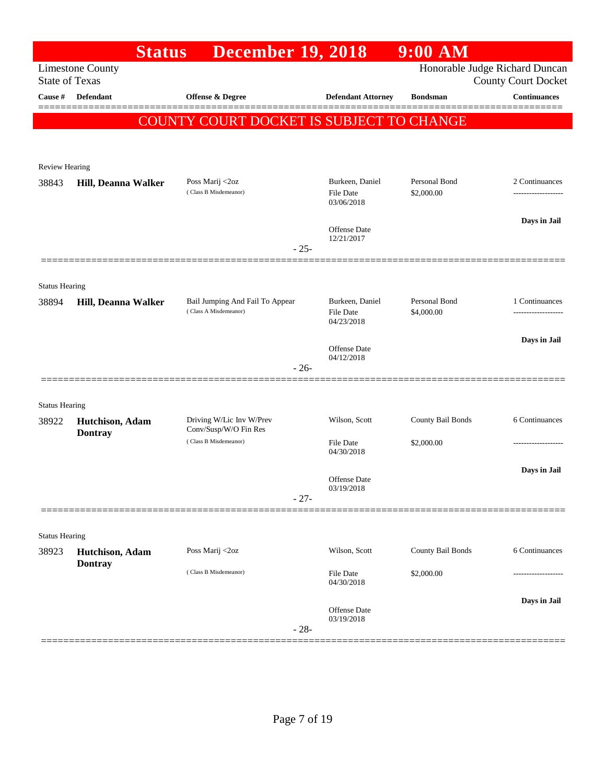|                                | <b>Status</b>           | <b>December 19, 2018</b>                                 |                                                   | $9:00$ AM                      |                                      |
|--------------------------------|-------------------------|----------------------------------------------------------|---------------------------------------------------|--------------------------------|--------------------------------------|
| <b>State of Texas</b>          | <b>Limestone County</b> |                                                          |                                                   | Honorable Judge Richard Duncan | <b>County Court Docket</b>           |
| Cause #                        | Defendant               | <b>Offense &amp; Degree</b>                              | <b>Defendant Attorney</b>                         | <b>Bondsman</b>                | <b>Continuances</b>                  |
|                                |                         | COUNTY COURT DOCKET IS SUBJECT TO CHANGE                 |                                                   |                                |                                      |
|                                |                         |                                                          |                                                   |                                |                                      |
| <b>Review Hearing</b>          |                         |                                                          |                                                   |                                |                                      |
| 38843                          | Hill, Deanna Walker     | Poss Marij <2oz                                          | Burkeen, Daniel                                   | Personal Bond                  | 2 Continuances                       |
|                                |                         | (Class B Misdemeanor)                                    | <b>File Date</b><br>03/06/2018                    | \$2,000.00                     | ------------------                   |
|                                |                         |                                                          | <b>Offense Date</b>                               |                                | Days in Jail                         |
|                                |                         | $-25-$                                                   | 12/21/2017                                        |                                |                                      |
|                                |                         |                                                          |                                                   |                                |                                      |
| <b>Status Hearing</b>          |                         |                                                          |                                                   |                                |                                      |
| 38894                          | Hill, Deanna Walker     | Bail Jumping And Fail To Appear<br>(Class A Misdemeanor) | Burkeen, Daniel<br><b>File Date</b><br>04/23/2018 | Personal Bond<br>\$4,000.00    | 1 Continuances<br>------------------ |
|                                |                         |                                                          |                                                   |                                | Days in Jail                         |
|                                |                         |                                                          | <b>Offense</b> Date<br>04/12/2018                 |                                |                                      |
|                                |                         | $-26-$                                                   |                                                   |                                |                                      |
|                                |                         |                                                          |                                                   |                                |                                      |
| <b>Status Hearing</b><br>38922 | Hutchison, Adam         | Driving W/Lic Inv W/Prev                                 | Wilson, Scott                                     | County Bail Bonds              | 6 Continuances                       |
|                                | <b>Dontray</b>          | Conv/Susp/W/O Fin Res<br>(Class B Misdemeanor)           |                                                   |                                |                                      |
|                                |                         |                                                          | <b>File Date</b><br>04/30/2018                    | \$2,000.00                     | ------------------                   |
|                                |                         |                                                          | <b>Offense Date</b>                               |                                | Days in Jail                         |
|                                |                         | $-27-$                                                   | 03/19/2018                                        |                                |                                      |
|                                |                         |                                                          |                                                   |                                |                                      |
| <b>Status Hearing</b>          |                         |                                                          |                                                   |                                |                                      |
| 38923                          | Hutchison, Adam         | Poss Marij <2oz                                          | Wilson, Scott                                     | County Bail Bonds              | 6 Continuances                       |
|                                | <b>Dontray</b>          | (Class B Misdemeanor)                                    | <b>File Date</b><br>04/30/2018                    | \$2,000.00                     |                                      |
|                                |                         |                                                          |                                                   |                                | Days in Jail                         |
|                                |                         | $-28-$                                                   | <b>Offense</b> Date<br>03/19/2018                 |                                |                                      |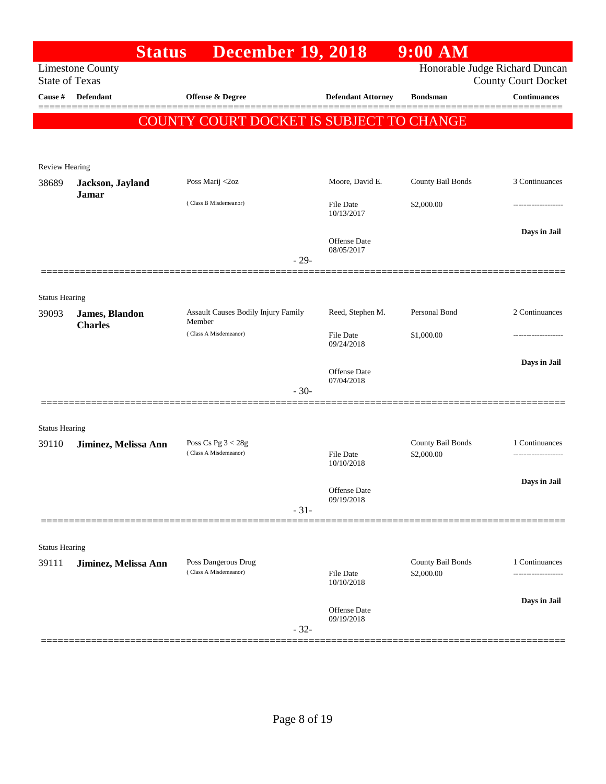|                       | <b>Status</b>                    | <b>December 19, 2018</b>                      |                                   | $9:00$ AM                       |                                                              |
|-----------------------|----------------------------------|-----------------------------------------------|-----------------------------------|---------------------------------|--------------------------------------------------------------|
| <b>State of Texas</b> | <b>Limestone County</b>          |                                               |                                   |                                 | Honorable Judge Richard Duncan<br><b>County Court Docket</b> |
| Cause #               | <b>Defendant</b>                 | <b>Offense &amp; Degree</b>                   | <b>Defendant Attorney</b>         | <b>Bondsman</b>                 | <b>Continuances</b>                                          |
|                       |                                  | COUNTY COURT DOCKET IS SUBJECT TO CHANGE      |                                   |                                 |                                                              |
| <b>Review Hearing</b> |                                  |                                               |                                   |                                 |                                                              |
| 38689                 | Jackson, Jayland                 | Poss Marij <2oz                               | Moore, David E.                   | County Bail Bonds               | 3 Continuances                                               |
|                       | <b>Jamar</b>                     | (Class B Misdemeanor)                         | <b>File Date</b><br>10/13/2017    | \$2,000.00                      |                                                              |
|                       |                                  | $-29-$                                        | <b>Offense Date</b><br>08/05/2017 |                                 | Days in Jail                                                 |
|                       |                                  |                                               |                                   |                                 |                                                              |
| <b>Status Hearing</b> |                                  |                                               |                                   |                                 |                                                              |
| 39093                 | James, Blandon<br><b>Charles</b> | Assault Causes Bodily Injury Family<br>Member | Reed, Stephen M.                  | Personal Bond                   | 2 Continuances                                               |
|                       |                                  | (Class A Misdemeanor)                         | <b>File Date</b><br>09/24/2018    | \$1,000.00                      | ----------------                                             |
|                       |                                  |                                               | <b>Offense Date</b><br>07/04/2018 |                                 | Days in Jail                                                 |
|                       |                                  | $-30-$                                        |                                   |                                 |                                                              |
| <b>Status Hearing</b> |                                  |                                               |                                   |                                 |                                                              |
| 39110                 | Jiminez, Melissa Ann             | Poss Cs Pg $3 < 28g$                          |                                   | County Bail Bonds               | 1 Continuances                                               |
|                       |                                  | (Class A Misdemeanor)                         | File Date<br>10/10/2018           | \$2,000.00                      |                                                              |
|                       |                                  |                                               | Offense Date<br>09/19/2018        |                                 | Days in Jail                                                 |
|                       |                                  | $-31-$                                        |                                   |                                 |                                                              |
| <b>Status Hearing</b> |                                  |                                               |                                   |                                 |                                                              |
| 39111                 | Jiminez, Melissa Ann             | Poss Dangerous Drug<br>(Class A Misdemeanor)  | <b>File Date</b>                  | County Bail Bonds<br>\$2,000.00 | 1 Continuances                                               |
|                       |                                  |                                               | 10/10/2018                        |                                 |                                                              |
|                       |                                  | $-32-$                                        | Offense Date<br>09/19/2018        |                                 | Days in Jail                                                 |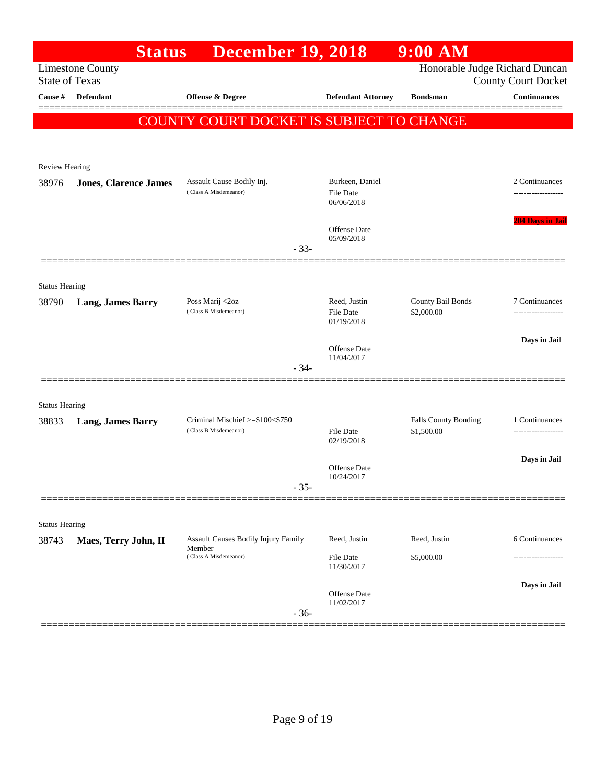|                       | <b>Status</b>                | <b>December 19, 2018</b>                   |                                   | $9:00$ AM            |                                                              |
|-----------------------|------------------------------|--------------------------------------------|-----------------------------------|----------------------|--------------------------------------------------------------|
| <b>State of Texas</b> | <b>Limestone County</b>      |                                            |                                   |                      | Honorable Judge Richard Duncan<br><b>County Court Docket</b> |
| Cause #               | <b>Defendant</b>             | Offense & Degree                           | <b>Defendant Attorney</b>         | <b>Bondsman</b>      | <b>Continuances</b>                                          |
|                       |                              | COUNTY COURT DOCKET IS SUBJECT TO CHANGE   |                                   |                      |                                                              |
|                       |                              |                                            |                                   |                      |                                                              |
| Review Hearing        |                              |                                            |                                   |                      |                                                              |
|                       |                              | Assault Cause Bodily Inj.                  | Burkeen, Daniel                   |                      | 2 Continuances                                               |
| 38976                 | <b>Jones, Clarence James</b> | (Class A Misdemeanor)                      | <b>File Date</b><br>06/06/2018    |                      |                                                              |
|                       |                              |                                            | <b>Offense Date</b>               |                      | <b>204 Days in Jail</b>                                      |
|                       |                              | $-33-$                                     | 05/09/2018                        |                      |                                                              |
|                       |                              |                                            |                                   |                      |                                                              |
| <b>Status Hearing</b> |                              |                                            |                                   |                      |                                                              |
| 38790                 | <b>Lang, James Barry</b>     | Poss Marij <2oz                            | Reed, Justin                      | County Bail Bonds    | 7 Continuances                                               |
|                       |                              | (Class B Misdemeanor)                      | <b>File Date</b><br>01/19/2018    | \$2,000.00           | -----------------                                            |
|                       |                              |                                            |                                   |                      | Days in Jail                                                 |
|                       |                              |                                            | <b>Offense Date</b><br>11/04/2017 |                      |                                                              |
|                       |                              | $-34-$                                     |                                   |                      |                                                              |
| <b>Status Hearing</b> |                              |                                            |                                   |                      |                                                              |
| 38833                 | <b>Lang, James Barry</b>     | Criminal Mischief >=\$100<\$750            |                                   | Falls County Bonding | 1 Continuances                                               |
|                       |                              | (Class B Misdemeanor)                      | <b>File Date</b><br>02/19/2018    | \$1,500.00           | ------------------                                           |
|                       |                              |                                            |                                   |                      | Days in Jail                                                 |
|                       |                              |                                            | Offense Date<br>10/24/2017        |                      |                                                              |
|                       |                              | $-35-$                                     |                                   |                      |                                                              |
|                       |                              |                                            |                                   |                      |                                                              |
| <b>Status Hearing</b> |                              | <b>Assault Causes Bodily Injury Family</b> | Reed, Justin                      | Reed, Justin         | 6 Continuances                                               |
| 38743                 | Maes, Terry John, II         | Member<br>(Class A Misdemeanor)            |                                   | \$5,000.00           |                                                              |
|                       |                              |                                            | File Date<br>11/30/2017           |                      |                                                              |
|                       |                              |                                            | Offense Date                      |                      | Days in Jail                                                 |
|                       |                              | $-36-$                                     | 11/02/2017                        |                      |                                                              |
|                       |                              |                                            |                                   |                      |                                                              |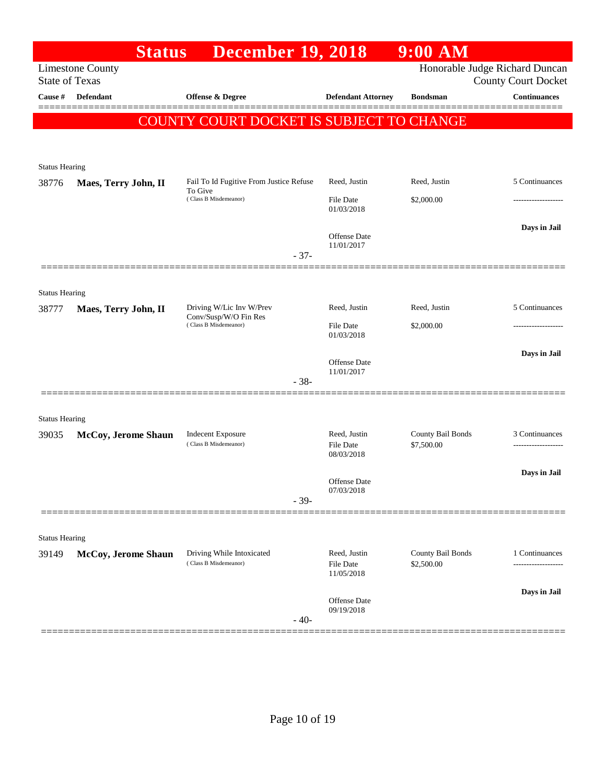|                       | <b>Status</b>           | <b>December 19, 2018</b>                           |                                         | $9:00$ AM                       |                                                              |
|-----------------------|-------------------------|----------------------------------------------------|-----------------------------------------|---------------------------------|--------------------------------------------------------------|
| <b>State of Texas</b> | <b>Limestone County</b> |                                                    |                                         |                                 | Honorable Judge Richard Duncan<br><b>County Court Docket</b> |
| Cause #               | Defendant               | Offense & Degree                                   | <b>Defendant Attorney</b>               | <b>Bondsman</b>                 | <b>Continuances</b>                                          |
|                       |                         | COUNTY COURT DOCKET IS SUBJECT TO CHANGE           |                                         |                                 | ======                                                       |
|                       |                         |                                                    |                                         |                                 |                                                              |
| <b>Status Hearing</b> |                         |                                                    |                                         |                                 |                                                              |
| 38776                 | Maes, Terry John, II    | Fail To Id Fugitive From Justice Refuse            | Reed, Justin                            | Reed, Justin                    | 5 Continuances                                               |
|                       |                         | To Give<br>(Class B Misdemeanor)                   | File Date<br>01/03/2018                 | \$2,000.00                      |                                                              |
|                       |                         |                                                    | Offense Date<br>11/01/2017              |                                 | Days in Jail                                                 |
|                       |                         | $-37-$                                             |                                         |                                 |                                                              |
| <b>Status Hearing</b> |                         |                                                    |                                         |                                 |                                                              |
| 38777                 | Maes, Terry John, II    | Driving W/Lic Inv W/Prev                           | Reed, Justin                            | Reed, Justin                    | 5 Continuances                                               |
|                       |                         | Conv/Susp/W/O Fin Res<br>(Class B Misdemeanor)     | <b>File Date</b><br>01/03/2018          | \$2,000.00                      |                                                              |
|                       |                         |                                                    |                                         |                                 | Days in Jail                                                 |
|                       |                         |                                                    | Offense Date<br>11/01/2017              |                                 |                                                              |
|                       |                         | $-38-$                                             |                                         |                                 |                                                              |
| <b>Status Hearing</b> |                         |                                                    |                                         |                                 |                                                              |
| 39035                 | McCoy, Jerome Shaun     | <b>Indecent Exposure</b><br>(Class B Misdemeanor)  | Reed, Justin<br>File Date               | County Bail Bonds<br>\$7,500.00 | 3 Continuances                                               |
|                       |                         |                                                    | 08/03/2018                              |                                 |                                                              |
|                       |                         |                                                    | Offense Date                            |                                 | Days in Jail                                                 |
|                       |                         | $-39-$                                             | 07/03/2018                              |                                 |                                                              |
|                       |                         |                                                    |                                         |                                 |                                                              |
| <b>Status Hearing</b> |                         |                                                    |                                         |                                 |                                                              |
| 39149                 | McCoy, Jerome Shaun     | Driving While Intoxicated<br>(Class B Misdemeanor) | Reed, Justin<br>File Date<br>11/05/2018 | County Bail Bonds<br>\$2,500.00 | 1 Continuances<br>.                                          |
|                       |                         |                                                    |                                         |                                 | Days in Jail                                                 |
|                       |                         | $-40-$                                             | Offense Date<br>09/19/2018              |                                 |                                                              |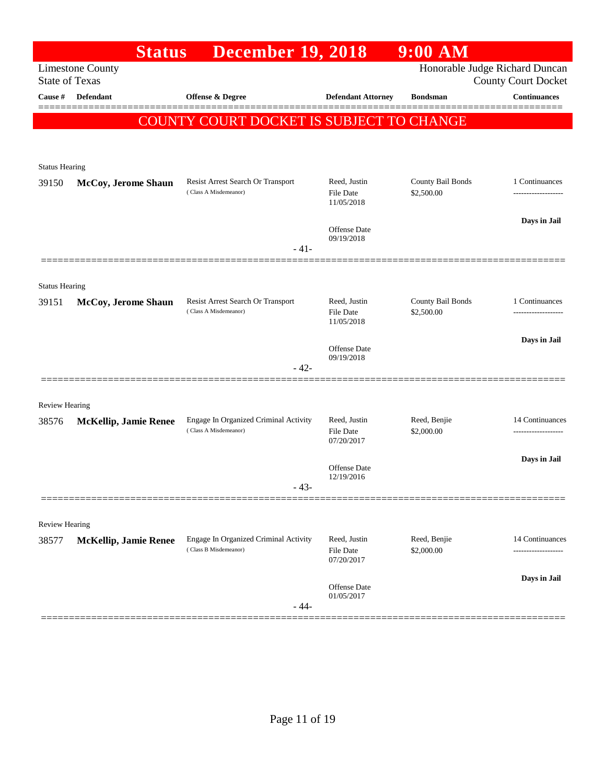|                       | <b>Status</b>                                    | <b>December 19, 2018</b>                                       |                                         | $9:00$ AM                       |                                                              |
|-----------------------|--------------------------------------------------|----------------------------------------------------------------|-----------------------------------------|---------------------------------|--------------------------------------------------------------|
|                       | <b>Limestone County</b><br><b>State of Texas</b> |                                                                |                                         |                                 | Honorable Judge Richard Duncan<br><b>County Court Docket</b> |
| Cause #               | Defendant                                        | <b>Offense &amp; Degree</b>                                    | <b>Defendant Attorney</b>               | <b>Bondsman</b>                 | <b>Continuances</b>                                          |
|                       |                                                  | COUNTY COURT DOCKET IS SUBJECT TO CHANGE                       |                                         |                                 |                                                              |
|                       |                                                  |                                                                |                                         |                                 |                                                              |
| <b>Status Hearing</b> |                                                  |                                                                |                                         |                                 |                                                              |
| 39150                 | McCoy, Jerome Shaun                              | Resist Arrest Search Or Transport                              | Reed, Justin                            | County Bail Bonds               | 1 Continuances                                               |
|                       |                                                  | (Class A Misdemeanor)                                          | <b>File Date</b><br>11/05/2018          | \$2,500.00                      |                                                              |
|                       |                                                  |                                                                | Offense Date                            |                                 | Days in Jail                                                 |
|                       |                                                  | $-41-$                                                         | 09/19/2018                              |                                 |                                                              |
|                       |                                                  |                                                                |                                         |                                 |                                                              |
| <b>Status Hearing</b> |                                                  |                                                                |                                         |                                 |                                                              |
| 39151                 | McCoy, Jerome Shaun                              | Resist Arrest Search Or Transport<br>(Class A Misdemeanor)     | Reed, Justin<br><b>File Date</b>        | County Bail Bonds<br>\$2,500.00 | 1 Continuances                                               |
|                       |                                                  |                                                                | 11/05/2018                              |                                 |                                                              |
|                       |                                                  |                                                                | Offense Date                            |                                 | Days in Jail                                                 |
|                       |                                                  | $-42-$                                                         | 09/19/2018                              |                                 |                                                              |
|                       |                                                  |                                                                |                                         |                                 |                                                              |
| <b>Review Hearing</b> |                                                  |                                                                |                                         |                                 |                                                              |
| 38576                 | <b>McKellip, Jamie Renee</b>                     | Engage In Organized Criminal Activity<br>(Class A Misdemeanor) | Reed, Justin<br><b>File Date</b>        | Reed, Benjie<br>\$2,000.00      | 14 Continuances                                              |
|                       |                                                  |                                                                | 07/20/2017                              |                                 |                                                              |
|                       |                                                  |                                                                | Offense Date<br>12/19/2016              |                                 | Days in Jail                                                 |
|                       |                                                  | $-43-$                                                         |                                         |                                 |                                                              |
|                       |                                                  |                                                                |                                         |                                 |                                                              |
| Review Hearing        |                                                  |                                                                |                                         |                                 |                                                              |
| 38577                 | <b>McKellip, Jamie Renee</b>                     | Engage In Organized Criminal Activity<br>(Class B Misdemeanor) | Reed, Justin<br>File Date<br>07/20/2017 | Reed, Benjie<br>\$2,000.00      | 14 Continuances<br>-------------------                       |
|                       |                                                  |                                                                | Offense Date                            |                                 | Days in Jail                                                 |
|                       |                                                  | $-44-$                                                         | 01/05/2017                              |                                 |                                                              |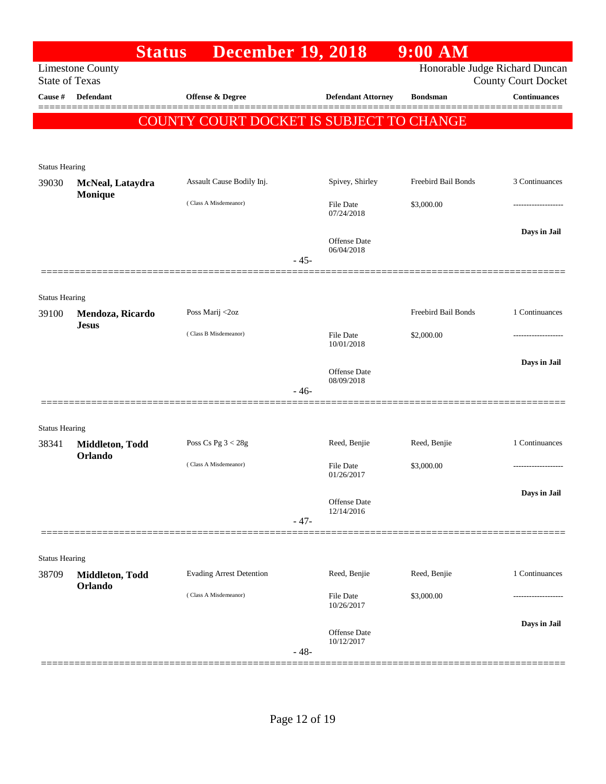|                                  |                            | <b>Status</b><br><b>December 19, 2018</b> |        |                            | $9:00$ AM           |                                                   |
|----------------------------------|----------------------------|-------------------------------------------|--------|----------------------------|---------------------|---------------------------------------------------|
|                                  | <b>Limestone County</b>    |                                           |        |                            |                     | Honorable Judge Richard Duncan                    |
| <b>State of Texas</b><br>Cause # | <b>Defendant</b>           | <b>Offense &amp; Degree</b>               |        | <b>Defendant Attorney</b>  | <b>Bondsman</b>     | <b>County Court Docket</b><br><b>Continuances</b> |
|                                  |                            |                                           |        |                            |                     |                                                   |
|                                  |                            | COUNTY COURT DOCKET IS SUBJECT TO CHANGE  |        |                            |                     |                                                   |
|                                  |                            |                                           |        |                            |                     |                                                   |
| <b>Status Hearing</b>            |                            |                                           |        |                            |                     |                                                   |
| 39030                            | McNeal, Lataydra           | Assault Cause Bodily Inj.                 |        | Spivey, Shirley            | Freebird Bail Bonds | 3 Continuances                                    |
|                                  | Monique                    |                                           |        |                            |                     |                                                   |
|                                  |                            | (Class A Misdemeanor)                     |        | File Date<br>07/24/2018    | \$3,000.00          |                                                   |
|                                  |                            |                                           |        |                            |                     | Days in Jail                                      |
|                                  |                            |                                           |        | Offense Date<br>06/04/2018 |                     |                                                   |
|                                  |                            |                                           | $-45-$ |                            |                     |                                                   |
|                                  |                            |                                           |        |                            |                     |                                                   |
| <b>Status Hearing</b>            |                            |                                           |        |                            |                     |                                                   |
| 39100                            | Mendoza, Ricardo           | Poss Marij <2oz                           |        |                            | Freebird Bail Bonds | 1 Continuances                                    |
|                                  | <b>Jesus</b>               | (Class B Misdemeanor)                     |        | <b>File Date</b>           | \$2,000.00          |                                                   |
|                                  |                            |                                           |        | 10/01/2018                 |                     |                                                   |
|                                  |                            |                                           |        | Offense Date               |                     | Days in Jail                                      |
|                                  |                            |                                           | - 46-  | 08/09/2018                 |                     |                                                   |
|                                  |                            |                                           |        |                            |                     |                                                   |
| <b>Status Hearing</b>            |                            |                                           |        |                            |                     |                                                   |
| 38341                            | Middleton, Todd            | Poss Cs Pg $3 < 28g$                      |        | Reed, Benjie               | Reed, Benjie        | 1 Continuances                                    |
|                                  | Orlando                    | (Class A Misdemeanor)                     |        | File Date                  | \$3,000.00          |                                                   |
|                                  |                            |                                           |        | 01/26/2017                 |                     |                                                   |
|                                  |                            |                                           |        |                            |                     | Days in Jail                                      |
|                                  |                            |                                           |        | Offense Date<br>12/14/2016 |                     |                                                   |
|                                  |                            |                                           | $-47-$ |                            |                     |                                                   |
|                                  |                            |                                           |        |                            |                     |                                                   |
| <b>Status Hearing</b>            |                            |                                           |        |                            |                     |                                                   |
| 38709                            | Middleton, Todd<br>Orlando | <b>Evading Arrest Detention</b>           |        | Reed, Benjie               | Reed, Benjie        | 1 Continuances                                    |
|                                  |                            | (Class A Misdemeanor)                     |        | File Date<br>10/26/2017    | \$3,000.00          |                                                   |
|                                  |                            |                                           |        |                            |                     |                                                   |
|                                  |                            |                                           |        | Offense Date               |                     | Days in Jail                                      |
|                                  |                            |                                           | $-48-$ | 10/12/2017                 |                     |                                                   |
|                                  |                            |                                           |        |                            |                     |                                                   |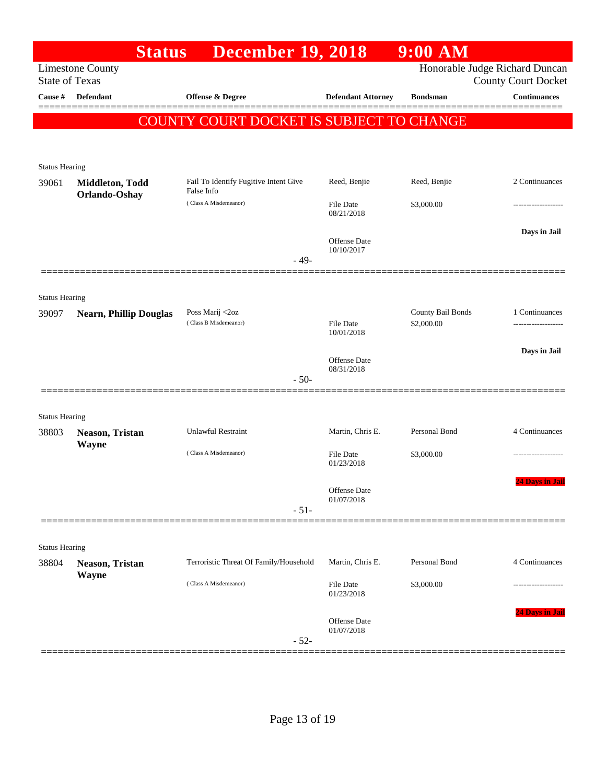|                                | <b>Status</b>                    | <b>December 19, 2018</b>                            |                                   | $9:00$ AM         |                                |
|--------------------------------|----------------------------------|-----------------------------------------------------|-----------------------------------|-------------------|--------------------------------|
|                                | <b>Limestone County</b>          |                                                     |                                   |                   | Honorable Judge Richard Duncan |
| <b>State of Texas</b>          |                                  |                                                     |                                   |                   | <b>County Court Docket</b>     |
| Cause #                        | <b>Defendant</b>                 | <b>Offense &amp; Degree</b>                         | <b>Defendant Attorney</b>         | <b>Bondsman</b>   | <b>Continuances</b>            |
|                                |                                  | COUNTY COURT DOCKET IS SUBJECT TO CHANGE            |                                   |                   |                                |
|                                |                                  |                                                     |                                   |                   |                                |
|                                |                                  |                                                     |                                   |                   |                                |
| <b>Status Hearing</b>          |                                  |                                                     |                                   |                   |                                |
| 39061                          | Middleton, Todd<br>Orlando-Oshay | Fail To Identify Fugitive Intent Give<br>False Info | Reed, Benjie                      | Reed, Benjie      | 2 Continuances                 |
|                                |                                  | (Class A Misdemeanor)                               | <b>File Date</b><br>08/21/2018    | \$3,000.00        |                                |
|                                |                                  |                                                     |                                   |                   | Days in Jail                   |
|                                |                                  |                                                     | <b>Offense</b> Date               |                   |                                |
|                                |                                  | $-49-$                                              | 10/10/2017                        |                   |                                |
|                                |                                  |                                                     |                                   |                   |                                |
| <b>Status Hearing</b>          |                                  |                                                     |                                   |                   |                                |
| 39097                          | <b>Nearn, Phillip Douglas</b>    | Poss Marij <2oz                                     |                                   | County Bail Bonds | 1 Continuances                 |
|                                |                                  | (Class B Misdemeanor)                               | <b>File Date</b><br>10/01/2018    | \$2,000.00        |                                |
|                                |                                  |                                                     |                                   |                   | Days in Jail                   |
|                                |                                  |                                                     | <b>Offense</b> Date<br>08/31/2018 |                   |                                |
|                                |                                  | $-50-$                                              |                                   |                   |                                |
|                                |                                  |                                                     |                                   |                   |                                |
| <b>Status Hearing</b>          |                                  |                                                     |                                   |                   |                                |
| 38803                          | Neason, Tristan                  | <b>Unlawful Restraint</b>                           | Martin, Chris E.                  | Personal Bond     | 4 Continuances                 |
|                                | Wayne                            | (Class A Misdemeanor)                               | <b>File Date</b>                  | \$3,000.00        |                                |
|                                |                                  |                                                     | 01/23/2018                        |                   |                                |
|                                |                                  |                                                     | Offense Date                      |                   | <b>24 Days in Jail</b>         |
|                                |                                  | $-51-$                                              | 01/07/2018                        |                   |                                |
|                                |                                  |                                                     |                                   |                   |                                |
|                                |                                  |                                                     |                                   |                   |                                |
| <b>Status Hearing</b><br>38804 | Neason, Tristan                  | Terroristic Threat Of Family/Household              | Martin, Chris E.                  | Personal Bond     | 4 Continuances                 |
|                                | <b>Wayne</b>                     |                                                     |                                   |                   |                                |
|                                |                                  | (Class A Misdemeanor)                               | File Date<br>01/23/2018           | \$3,000.00        |                                |
|                                |                                  |                                                     |                                   |                   | 24 Days in Jail                |
|                                |                                  |                                                     | Offense Date<br>01/07/2018        |                   |                                |
|                                |                                  | $-52-$                                              |                                   |                   |                                |
|                                |                                  |                                                     |                                   |                   |                                |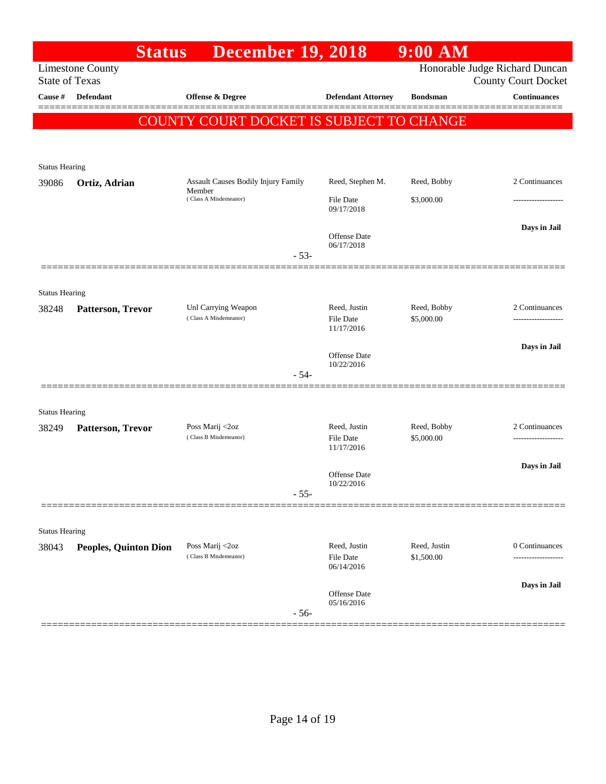|                       | <b>Status</b>                | <b>December 19, 2018</b>                     |                                         | 9:00 AM                    |                                                              |  |  |
|-----------------------|------------------------------|----------------------------------------------|-----------------------------------------|----------------------------|--------------------------------------------------------------|--|--|
| <b>State of Texas</b> | <b>Limestone County</b>      |                                              |                                         |                            | Honorable Judge Richard Duncan<br><b>County Court Docket</b> |  |  |
| Cause #               | <b>Defendant</b>             | Offense & Degree                             | <b>Defendant Attorney</b>               | <b>Bondsman</b>            | <b>Continuances</b>                                          |  |  |
|                       |                              | COUNTY COURT DOCKET IS SUBJECT TO CHANGE     |                                         |                            |                                                              |  |  |
|                       |                              |                                              |                                         |                            |                                                              |  |  |
| <b>Status Hearing</b> |                              |                                              |                                         |                            |                                                              |  |  |
| 39086                 | Ortiz, Adrian                | Assault Causes Bodily Injury Family          | Reed, Stephen M.                        | Reed, Bobby                | 2 Continuances                                               |  |  |
|                       |                              | Member<br>(Class A Misdemeanor)              | File Date<br>09/17/2018                 | \$3,000.00                 |                                                              |  |  |
|                       |                              |                                              | Offense Date                            |                            | Days in Jail                                                 |  |  |
|                       |                              | $-53-$                                       | 06/17/2018                              |                            |                                                              |  |  |
|                       |                              |                                              |                                         |                            |                                                              |  |  |
| <b>Status Hearing</b> |                              |                                              |                                         |                            |                                                              |  |  |
| 38248                 | Patterson, Trevor            | Unl Carrying Weapon<br>(Class A Misdemeanor) | Reed, Justin                            | Reed, Bobby<br>\$5,000.00  | 2 Continuances                                               |  |  |
|                       |                              |                                              | File Date<br>11/17/2016                 |                            |                                                              |  |  |
|                       |                              |                                              | Offense Date                            |                            | Days in Jail                                                 |  |  |
|                       |                              | $-54-$                                       | 10/22/2016                              |                            |                                                              |  |  |
|                       |                              |                                              |                                         |                            |                                                              |  |  |
| <b>Status Hearing</b> |                              |                                              |                                         |                            |                                                              |  |  |
| 38249                 | Patterson, Trevor            | Poss Marij <2oz<br>(Class B Misdemeanor)     | Reed, Justin<br>File Date               | Reed, Bobby<br>\$5,000.00  | 2 Continuances                                               |  |  |
|                       |                              |                                              | 11/17/2016                              |                            |                                                              |  |  |
|                       |                              |                                              | Offense Date                            |                            | Days in Jail                                                 |  |  |
|                       |                              | $-55-$                                       | 10/22/2016                              |                            |                                                              |  |  |
|                       |                              |                                              |                                         |                            |                                                              |  |  |
| <b>Status Hearing</b> |                              |                                              |                                         |                            |                                                              |  |  |
| 38043                 | <b>Peoples, Quinton Dion</b> | Poss Marij <2oz<br>(Class B Misdemeanor)     | Reed, Justin<br>File Date<br>06/14/2016 | Reed, Justin<br>\$1,500.00 | 0 Continuances<br>                                           |  |  |
|                       |                              |                                              |                                         |                            | Days in Jail                                                 |  |  |
|                       |                              | $-56-$                                       | <b>Offense</b> Date<br>05/16/2016       |                            |                                                              |  |  |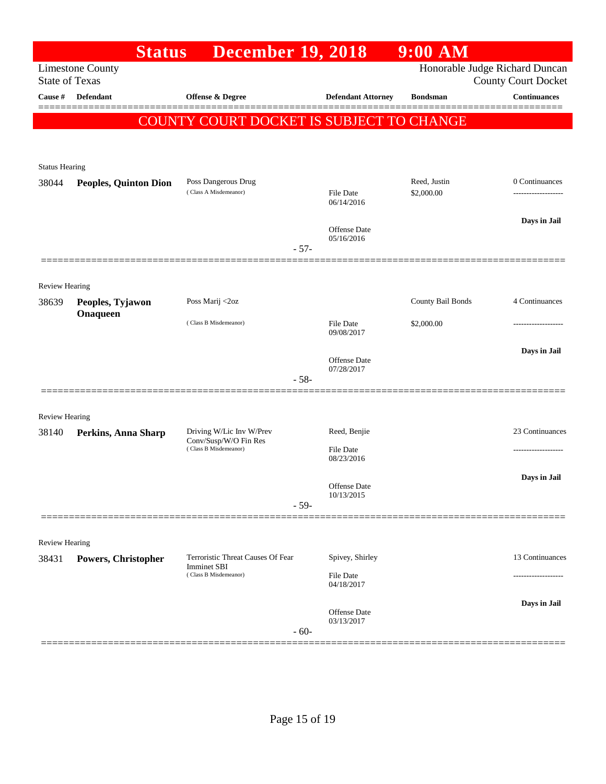|                                | <b>Status</b>                | <b>December 19, 2018</b>                                                  |                                   | $9:00$ AM                      |                                      |
|--------------------------------|------------------------------|---------------------------------------------------------------------------|-----------------------------------|--------------------------------|--------------------------------------|
| <b>State of Texas</b>          | <b>Limestone County</b>      |                                                                           |                                   | Honorable Judge Richard Duncan | <b>County Court Docket</b>           |
| Cause #                        | <b>Defendant</b>             | <b>Offense &amp; Degree</b>                                               | <b>Defendant Attorney</b>         | <b>Bondsman</b>                | <b>Continuances</b>                  |
|                                |                              | COUNTY COURT DOCKET IS SUBJECT TO CHANGE                                  |                                   |                                |                                      |
| <b>Status Hearing</b>          |                              |                                                                           |                                   |                                |                                      |
| 38044                          | <b>Peoples, Quinton Dion</b> | Poss Dangerous Drug<br>(Class A Misdemeanor)                              | File Date<br>06/14/2016           | Reed, Justin<br>\$2,000.00     | 0 Continuances<br>------------------ |
|                                |                              | $-57-$                                                                    | <b>Offense</b> Date<br>05/16/2016 |                                | Days in Jail                         |
|                                |                              |                                                                           |                                   |                                |                                      |
| <b>Review Hearing</b><br>38639 | Peoples, Tyjawon             | Poss Marij <2oz                                                           |                                   | County Bail Bonds              | 4 Continuances                       |
|                                | Onaqueen                     | (Class B Misdemeanor)                                                     | File Date<br>09/08/2017           | \$2,000.00                     |                                      |
|                                |                              | $-58-$                                                                    | <b>Offense</b> Date<br>07/28/2017 |                                | Days in Jail                         |
| <b>Review Hearing</b>          |                              |                                                                           |                                   |                                |                                      |
| 38140                          | Perkins, Anna Sharp          | Driving W/Lic Inv W/Prev<br>Conv/Susp/W/O Fin Res                         | Reed, Benjie                      |                                | 23 Continuances                      |
|                                |                              | (Class B Misdemeanor)                                                     | File Date<br>08/23/2016           |                                |                                      |
|                                |                              | - 59-                                                                     | Offense Date<br>10/13/2015        |                                | Days in Jail                         |
|                                |                              |                                                                           |                                   |                                |                                      |
| <b>Review Hearing</b><br>38431 | Powers, Christopher          | Terroristic Threat Causes Of Fear<br>Imminet SBI<br>(Class B Misdemeanor) | Spivey, Shirley<br>File Date      |                                | 13 Continuances                      |
|                                |                              |                                                                           | 04/18/2017                        |                                |                                      |
|                                |                              | $-60-$                                                                    | Offense Date<br>03/13/2017        |                                | Days in Jail                         |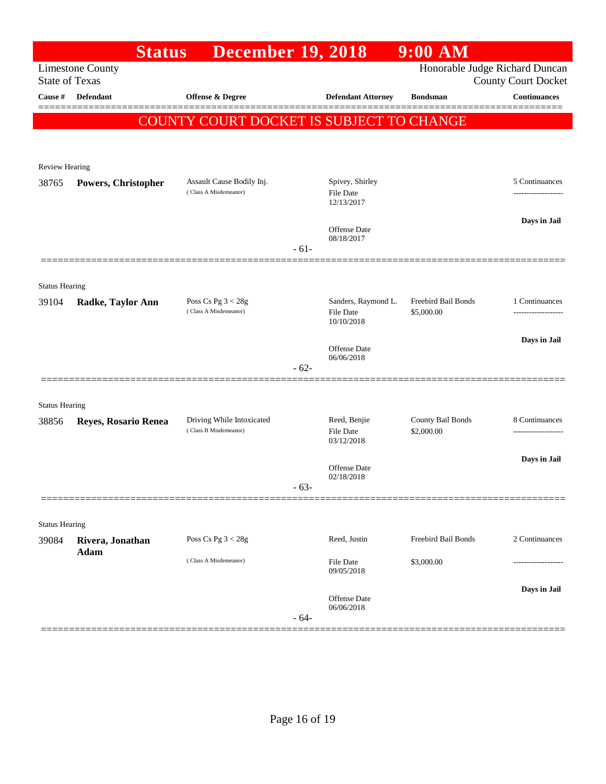|                                                  | <b>Status</b>        | <b>December 19, 2018</b>                           |        |                                | $9:00$ AM                                                    |                     |
|--------------------------------------------------|----------------------|----------------------------------------------------|--------|--------------------------------|--------------------------------------------------------------|---------------------|
| <b>Limestone County</b><br><b>State of Texas</b> |                      |                                                    |        |                                | Honorable Judge Richard Duncan<br><b>County Court Docket</b> |                     |
| Cause $\#$                                       | <b>Defendant</b>     | Offense & Degree                                   |        | <b>Defendant Attorney</b>      | <b>Bondsman</b>                                              | <b>Continuances</b> |
|                                                  |                      | COUNTY COURT DOCKET IS SUBJECT TO CHANGE           |        |                                |                                                              | ======              |
|                                                  |                      |                                                    |        |                                |                                                              |                     |
| Review Hearing                                   |                      |                                                    |        |                                |                                                              |                     |
| 38765                                            | Powers, Christopher  | Assault Cause Bodily Inj.                          |        | Spivey, Shirley                |                                                              | 5 Continuances      |
|                                                  |                      | (Class A Misdemeanor)                              |        | File Date<br>12/13/2017        |                                                              |                     |
|                                                  |                      |                                                    |        |                                |                                                              | Days in Jail        |
|                                                  |                      |                                                    |        | Offense Date<br>08/18/2017     |                                                              |                     |
|                                                  |                      |                                                    | $-61-$ |                                |                                                              |                     |
| <b>Status Hearing</b>                            |                      |                                                    |        |                                |                                                              |                     |
| 39104                                            | Radke, Taylor Ann    | Poss Cs Pg $3 < 28g$                               |        | Sanders, Raymond L.            | <b>Freebird Bail Bonds</b>                                   | 1 Continuances      |
|                                                  |                      | (Class A Misdemeanor)                              |        | <b>File Date</b><br>10/10/2018 | \$5,000.00                                                   | ------------------  |
|                                                  |                      |                                                    |        | Offense Date                   |                                                              | Days in Jail        |
|                                                  |                      |                                                    | $-62-$ | 06/06/2018                     |                                                              |                     |
|                                                  |                      |                                                    |        |                                |                                                              |                     |
| <b>Status Hearing</b>                            |                      |                                                    |        |                                |                                                              |                     |
| 38856                                            | Reyes, Rosario Renea | Driving While Intoxicated<br>(Class B Misdemeanor) |        | Reed, Benjie                   | County Bail Bonds                                            | 8 Continuances      |
|                                                  |                      |                                                    |        | <b>File Date</b><br>03/12/2018 | \$2,000.00                                                   | ------------------- |
|                                                  |                      |                                                    |        | Offense Date                   |                                                              | Days in Jail        |
|                                                  |                      |                                                    | $-63-$ | 02/18/2018                     |                                                              |                     |
|                                                  |                      |                                                    |        |                                |                                                              |                     |
| <b>Status Hearing</b>                            |                      |                                                    |        |                                |                                                              |                     |
| 39084                                            | Rivera, Jonathan     | Poss Cs Pg $3 < 28g$                               |        | Reed, Justin                   | Freebird Bail Bonds                                          | 2 Continuances      |
|                                                  | <b>Adam</b>          | (Class A Misdemeanor)                              |        | File Date<br>09/05/2018        | \$3,000.00                                                   |                     |
|                                                  |                      |                                                    |        | <b>Offense Date</b>            |                                                              | Days in Jail        |
|                                                  |                      |                                                    | $-64-$ | 06/06/2018                     |                                                              |                     |
|                                                  |                      |                                                    |        |                                |                                                              |                     |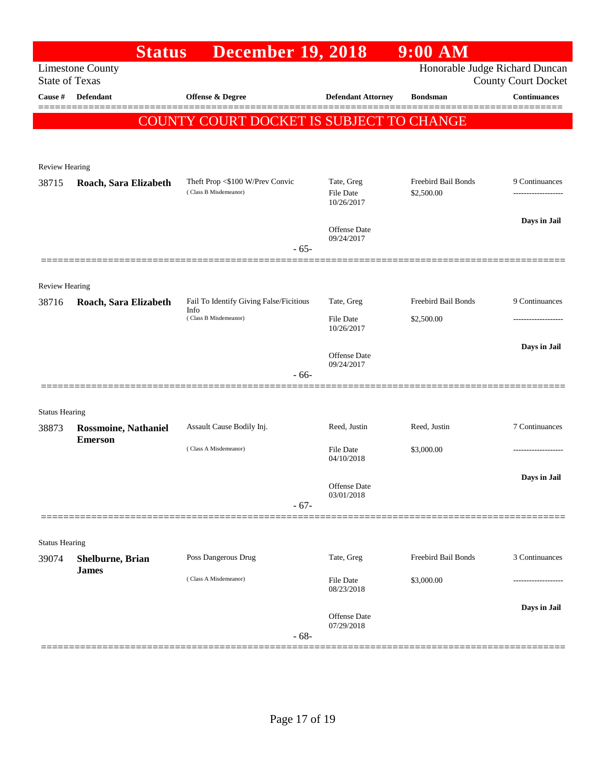|                       | <b>Status</b>               | <b>December 19, 2018</b>                                 |                                              | $9:00$ AM                         |                                                              |
|-----------------------|-----------------------------|----------------------------------------------------------|----------------------------------------------|-----------------------------------|--------------------------------------------------------------|
| <b>State of Texas</b> | <b>Limestone County</b>     |                                                          |                                              |                                   | Honorable Judge Richard Duncan<br><b>County Court Docket</b> |
| Cause #               | <b>Defendant</b>            | <b>Offense &amp; Degree</b>                              | <b>Defendant Attorney</b>                    | <b>Bondsman</b>                   | <b>Continuances</b>                                          |
|                       |                             | COUNTY COURT DOCKET IS SUBJECT TO CHANGE                 |                                              |                                   |                                                              |
|                       |                             |                                                          |                                              |                                   |                                                              |
|                       |                             |                                                          |                                              |                                   |                                                              |
| <b>Review Hearing</b> |                             |                                                          |                                              |                                   |                                                              |
| 38715                 | Roach, Sara Elizabeth       | Theft Prop <\$100 W/Prev Convic<br>(Class B Misdemeanor) | Tate, Greg<br><b>File Date</b><br>10/26/2017 | Freebird Bail Bonds<br>\$2,500.00 | 9 Continuances<br>-------------------                        |
|                       |                             |                                                          |                                              |                                   | Days in Jail                                                 |
|                       |                             | $-65-$                                                   | Offense Date<br>09/24/2017                   |                                   |                                                              |
|                       |                             |                                                          |                                              |                                   |                                                              |
| <b>Review Hearing</b> |                             |                                                          |                                              |                                   |                                                              |
| 38716                 | Roach, Sara Elizabeth       | Fail To Identify Giving False/Ficitious<br>Info          | Tate, Greg                                   | Freebird Bail Bonds               | 9 Continuances                                               |
|                       |                             | (Class B Misdemeanor)                                    | <b>File Date</b><br>10/26/2017               | \$2,500.00                        |                                                              |
|                       |                             |                                                          |                                              |                                   | Days in Jail                                                 |
|                       |                             |                                                          | Offense Date<br>09/24/2017                   |                                   |                                                              |
|                       |                             | $-66-$                                                   |                                              |                                   |                                                              |
| <b>Status Hearing</b> |                             |                                                          |                                              |                                   |                                                              |
| 38873                 | <b>Rossmoine, Nathaniel</b> | Assault Cause Bodily Inj.                                | Reed, Justin                                 | Reed, Justin                      | 7 Continuances                                               |
|                       | <b>Emerson</b>              | (Class A Misdemeanor)                                    | <b>File Date</b>                             | \$3,000.00                        |                                                              |
|                       |                             |                                                          | 04/10/2018                                   |                                   |                                                              |
|                       |                             |                                                          | Offense Date                                 |                                   | Days in Jail                                                 |
|                       |                             | $-67-$                                                   | 03/01/2018                                   |                                   |                                                              |
|                       |                             |                                                          |                                              |                                   |                                                              |
| <b>Status Hearing</b> |                             |                                                          |                                              |                                   |                                                              |
| 39074                 | Shelburne, Brian            | Poss Dangerous Drug                                      | Tate, Greg                                   | Freebird Bail Bonds               | 3 Continuances                                               |
|                       | <b>James</b>                | (Class A Misdemeanor)                                    | File Date<br>08/23/2018                      | \$3,000.00                        |                                                              |
|                       |                             |                                                          |                                              |                                   | Days in Jail                                                 |
|                       |                             | $-68-$                                                   | Offense Date<br>07/29/2018                   |                                   |                                                              |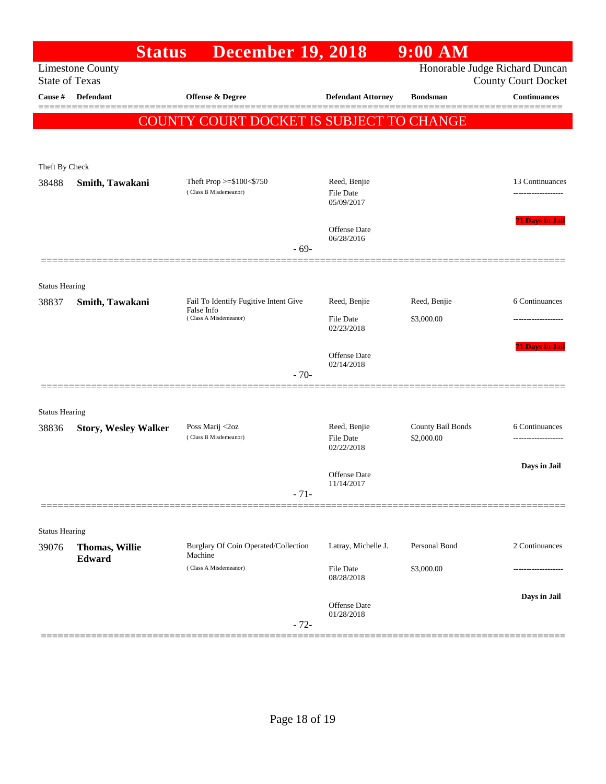|                                                  | <b>Status</b>                   | <b>December 19, 2018</b>                            |                                | $9:00$ AM                       |                                                              |
|--------------------------------------------------|---------------------------------|-----------------------------------------------------|--------------------------------|---------------------------------|--------------------------------------------------------------|
| <b>Limestone County</b><br><b>State of Texas</b> |                                 |                                                     |                                |                                 | Honorable Judge Richard Duncan<br><b>County Court Docket</b> |
| Cause #                                          | <b>Defendant</b>                | <b>Offense &amp; Degree</b>                         | <b>Defendant Attorney</b>      | <b>Bondsman</b>                 | <b>Continuances</b>                                          |
|                                                  |                                 | COUNTY COURT DOCKET IS SUBJECT TO CHANGE            |                                |                                 |                                                              |
|                                                  |                                 |                                                     |                                |                                 |                                                              |
| Theft By Check                                   |                                 |                                                     |                                |                                 |                                                              |
| 38488                                            | Smith, Tawakani                 | Theft Prop >=\$100<\$750                            | Reed, Benjie                   |                                 | 13 Continuances                                              |
|                                                  |                                 | (Class B Misdemeanor)                               | File Date<br>05/09/2017        |                                 | .                                                            |
|                                                  |                                 |                                                     | Offense Date                   |                                 | <b>71 Days in Jail</b>                                       |
|                                                  |                                 | $-69-$                                              | 06/28/2016                     |                                 |                                                              |
|                                                  |                                 |                                                     |                                |                                 |                                                              |
| <b>Status Hearing</b>                            |                                 |                                                     |                                |                                 |                                                              |
| 38837                                            | Smith, Tawakani                 | Fail To Identify Fugitive Intent Give<br>False Info | Reed, Benjie                   | Reed, Benjie                    | 6 Continuances                                               |
|                                                  |                                 | (Class A Misdemeanor)                               | <b>File Date</b><br>02/23/2018 | \$3,000.00                      |                                                              |
|                                                  |                                 |                                                     | Offense Date                   |                                 | <b>71 Days in Jail</b>                                       |
|                                                  |                                 | $-70-$                                              | 02/14/2018                     |                                 |                                                              |
|                                                  |                                 |                                                     |                                |                                 |                                                              |
| <b>Status Hearing</b>                            |                                 |                                                     |                                |                                 |                                                              |
| 38836                                            | <b>Story, Wesley Walker</b>     | Poss Marij <2oz<br>(Class B Misdemeanor)            | Reed, Benjie<br>File Date      | County Bail Bonds<br>\$2,000.00 | 6 Continuances<br>-------------------                        |
|                                                  |                                 |                                                     | 02/22/2018                     |                                 |                                                              |
|                                                  |                                 |                                                     | Offense Date                   |                                 | Days in Jail                                                 |
|                                                  |                                 | $-71-$                                              | 11/14/2017                     |                                 |                                                              |
|                                                  |                                 |                                                     |                                |                                 |                                                              |
| <b>Status Hearing</b>                            |                                 |                                                     |                                |                                 |                                                              |
| 39076                                            | <b>Thomas, Willie</b><br>Edward | Burglary Of Coin Operated/Collection<br>Machine     | Latray, Michelle J.            | Personal Bond                   | 2 Continuances                                               |
|                                                  |                                 | (Class A Misdemeanor)                               | File Date<br>08/28/2018        | \$3,000.00                      | ------------------                                           |
|                                                  |                                 |                                                     |                                |                                 | Days in Jail                                                 |
|                                                  |                                 |                                                     | Offense Date<br>01/28/2018     |                                 |                                                              |
|                                                  |                                 | $-72-$                                              |                                |                                 |                                                              |